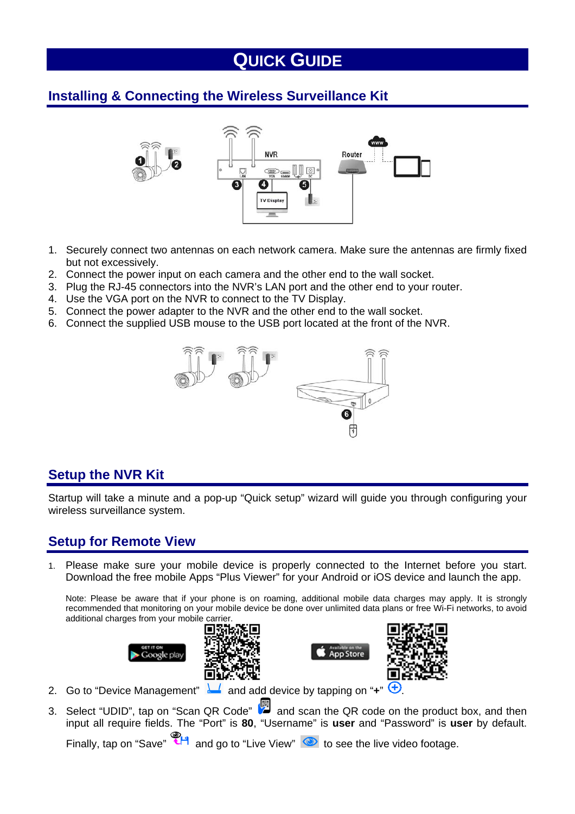# **QUICK GUIDE**

## **Installing & Connecting the Wireless Surveillance Kit**



- 1. Securely connect two antennas on each network camera. Make sure the antennas are firmly fixed but not excessively.
- 2. Connect the power input on each camera and the other end to the wall socket.
- 3. Plug the RJ-45 connectors into the NVR's LAN port and the other end to your router.
- 4. Use the VGA port on the NVR to connect to the TV Display.
- 5. Connect the power adapter to the NVR and the other end to the wall socket.
- 6. Connect the supplied USB mouse to the USB port located at the front of the NVR.



### **Setup the NVR Kit**

Startup will take a minute and a pop-up "Quick setup" wizard will guide you through configuring your wireless surveillance system.

### **Setup for Remote View**

1. Please make sure your mobile device is properly connected to the Internet before you start. Download the free mobile Apps "Plus Viewer" for your Android or iOS device and launch the app.

Note: Please be aware that if your phone is on roaming, additional mobile data charges may apply. It is strongly recommended that monitoring on your mobile device be done over unlimited data plans or free Wi-Fi networks, to avoid additional charges from your mobile carrier.









- 2. Go to "Device Management" **and add device by tapping on "+"**
- 3. Select "UDID", tap on "Scan QR Code" and scan the QR code on the product box, and then input all require fields. The "Port" is **80**, "Username" is **user** and "Password" is **user** by default.

Finally, tap on "Save"  $\left\{ \right. \right\}$  and go to "Live View"  $\bullet$  to see the live video footage.